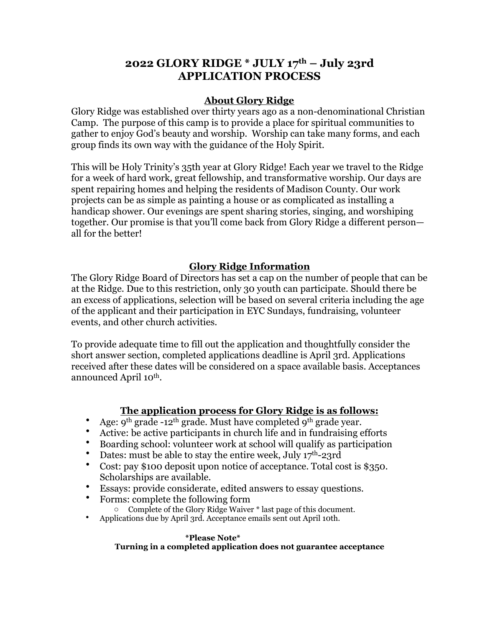## **2022 GLORY RIDGE \* JULY 17th – July 23rd APPLICATION PROCESS**

## **About Glory Ridge**

Glory Ridge was established over thirty years ago as a non-denominational Christian Camp. The purpose of this camp is to provide a place for spiritual communities to gather to enjoy God's beauty and worship. Worship can take many forms, and each group finds its own way with the guidance of the Holy Spirit.

This will be Holy Trinity's 35th year at Glory Ridge! Each year we travel to the Ridge for a week of hard work, great fellowship, and transformative worship. Our days are spent repairing homes and helping the residents of Madison County. Our work projects can be as simple as painting a house or as complicated as installing a handicap shower. Our evenings are spent sharing stories, singing, and worshiping together. Our promise is that you'll come back from Glory Ridge a different person all for the better!

### **Glory Ridge Information**

The Glory Ridge Board of Directors has set a cap on the number of people that can be at the Ridge. Due to this restriction, only 30 youth can participate. Should there be an excess of applications, selection will be based on several criteria including the age of the applicant and their participation in EYC Sundays, fundraising, volunteer events, and other church activities.

To provide adequate time to fill out the application and thoughtfully consider the short answer section, completed applications deadline is April 3rd. Applications received after these dates will be considered on a space available basis. Acceptances announced April 10<sup>th</sup>.

### **The application process for Glory Ridge is as follows:**

- Age:  $9^{th}$  grade -12<sup>th</sup> grade. Must have completed  $9^{th}$  grade year.
- Active: be active participants in church life and in fundraising efforts
- Boarding school: volunteer work at school will qualify as participation
- Dates: must be able to stay the entire week, July  $17^{\text{th}}$ -23rd<br>• Cost: pay \$100 deposit upon potice of acceptance Total co
- Cost: pay \$100 deposit upon notice of acceptance. Total cost is \$350. Scholarships are available.
- Essays: provide considerate, edited answers to essay questions.<br>• Eorme: complete the following form
- Forms: complete the following form
- o Complete of the Glory Ridge Waiver \* last page of this document.
- Applications due by April 3rd. Acceptance emails sent out April 10th.

### **\*Please Note\* Turning in a completed application does not guarantee acceptance**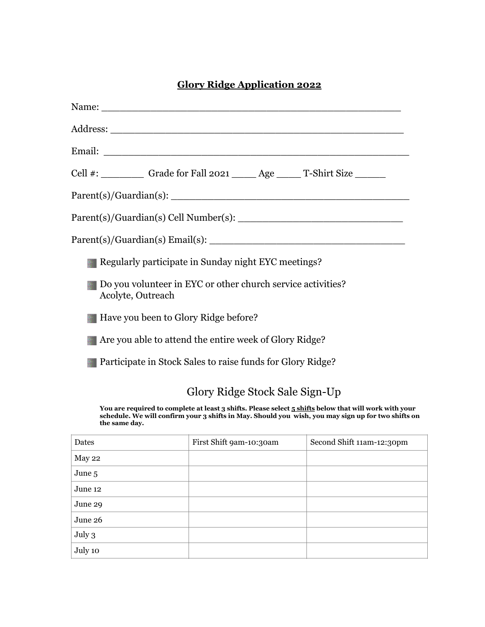## **Glory Ridge Application 2022**

| Cell #: ___________ Grade for Fall 2021 ______ Age ______ T-Shirt Size _______                                                                                                                                               |
|------------------------------------------------------------------------------------------------------------------------------------------------------------------------------------------------------------------------------|
|                                                                                                                                                                                                                              |
|                                                                                                                                                                                                                              |
|                                                                                                                                                                                                                              |
| Regularly participate in Sunday night EYC meetings?                                                                                                                                                                          |
| Do you volunteer in EYC or other church service activities?<br>Acolyte, Outreach                                                                                                                                             |
| Have you been to Glory Ridge before?                                                                                                                                                                                         |
| Are you able to attend the entire week of Glory Ridge?                                                                                                                                                                       |
| Participate in Stock Sales to raise funds for Glory Ridge?                                                                                                                                                                   |
| Glory Ridge Stock Sale Sign-Up                                                                                                                                                                                               |
| You are required to complete at least 3 shifts. Please select 5 shifts below that will work with your<br>schedule. We will confirm your 3 shifts in May. Should you wish, you may sign up for two shifts on<br>the same day. |

| Dates   | First Shift 9am-10:30am | Second Shift 11am-12:30pm |
|---------|-------------------------|---------------------------|
| May 22  |                         |                           |
| June 5  |                         |                           |
| June 12 |                         |                           |
| June 29 |                         |                           |
| June 26 |                         |                           |
| July 3  |                         |                           |
| July 10 |                         |                           |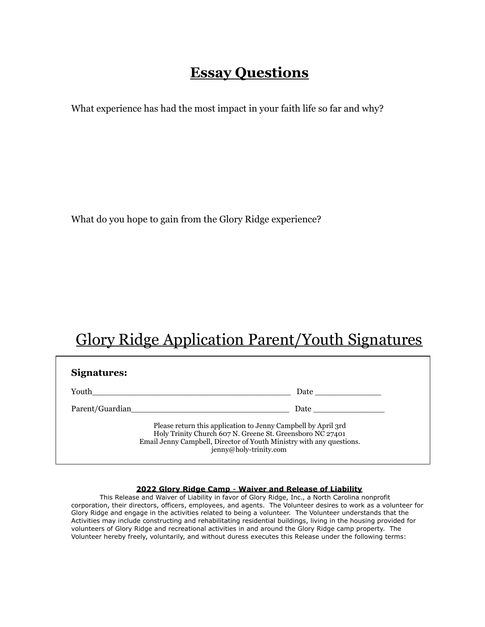## **Essay Questions**

What experience has had the most impact in your faith life so far and why?

What do you hope to gain from the Glory Ridge experience?

# Glory Ridge Application Parent/Youth Signatures

| Signatures:     |                                                                                                                                                                                                                                |
|-----------------|--------------------------------------------------------------------------------------------------------------------------------------------------------------------------------------------------------------------------------|
| Youth           | Date the contract of the contract of the contract of the contract of the contract of the contract of the contract of the contract of the contract of the contract of the contract of the contract of the contract of the contr |
| Parent/Guardian | Date the contract of the contract of the contract of the contract of the contract of the contract of the contract of the contract of the contract of the contract of the contract of the contract of the contract of the contr |
|                 | Please return this application to Jenny Campbell by April 3rd<br>Holy Trinity Church 607 N. Greene St. Greensboro NC 27401<br>Email Jenny Campbell, Director of Youth Ministry with any questions.<br>jenny@holy-trinity.com   |

### **2022 Glory Ridge Camp** - **Waiver and Release of Liability**

This Release and Waiver of Liability in favor of Glory Ridge, Inc., a North Carolina nonprofit corporation, their directors, officers, employees, and agents. The Volunteer desires to work as a volunteer for Glory Ridge and engage in the activities related to being a volunteer. The Volunteer understands that the Activities may include constructing and rehabilitating residential buildings, living in the housing provided for volunteers of Glory Ridge and recreational activities in and around the Glory Ridge camp property. The Volunteer hereby freely, voluntarily, and without duress executes this Release under the following terms: